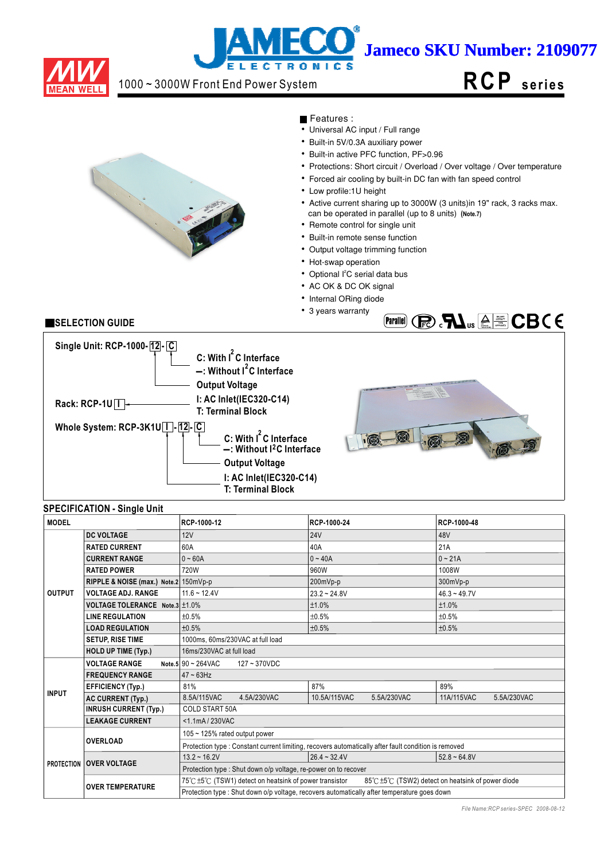

# j **Jameco SKU Number: 2109077 LECTRONIC**

## 1000 ~ 3000W Front End Power System

# **RCP s e ri e s**



Features :

- $\overline{\bullet}$  Universal AC input / Full range
- Built-in 5V/0.3A auxiliary power
- Built-in active PFC function, PF>0.96
- Protections: Short circuit / Overload / Over voltage / Over temperature
- Forced air cooling by built-in DC fan with fan speed control
- Low profile:1U height
- Active current sharing up to 3000W (3 units)in 19" rack, 3 racks max.
- can be operated in parallel (up to 8 units) **(Note.7)**
- Remote control for single unit
- Built-in remote sense function
- Output voltage trimming function
- Hot-swap operation
- Optional l<sup>2</sup>C serial data bus
- AC OK & DC OK signal
- Internal ORing diode
- 3 years warranty

## **SELECTION GUIDE**



## **SPECIFICATION - Single Unit**

| <b>MODEL</b>  |                                       | RCP-1000-12                                                                                 | RCP-1000-24                                                                                          | RCP-1000-48                                     |  |  |  |
|---------------|---------------------------------------|---------------------------------------------------------------------------------------------|------------------------------------------------------------------------------------------------------|-------------------------------------------------|--|--|--|
|               | <b>DC VOLTAGE</b>                     | 12V                                                                                         | <b>24V</b>                                                                                           | 48V                                             |  |  |  |
|               | <b>RATED CURRENT</b>                  | 60A                                                                                         | 40A                                                                                                  | 21A                                             |  |  |  |
|               | <b>CURRENT RANGE</b>                  | $0 - 60A$                                                                                   | $0 - 40A$                                                                                            | $0 - 21A$                                       |  |  |  |
|               | <b>RATED POWER</b>                    | 720W                                                                                        | 960W                                                                                                 | 1008W                                           |  |  |  |
|               | RIPPLE & NOISE (max.) Note.2 150mVp-p |                                                                                             | 200mVp-p                                                                                             | 300mVp-p                                        |  |  |  |
| <b>OUTPUT</b> | <b>VOLTAGE ADJ. RANGE</b>             | $11.6 - 12.4V$                                                                              | $23.2 - 24.8V$                                                                                       | $46.3 - 49.7V$                                  |  |  |  |
|               | VOLTAGE TOLERANCE Note.3 ±1.0%        |                                                                                             | ±1.0%                                                                                                | ±1.0%                                           |  |  |  |
|               | <b>LINE REGULATION</b>                | ±0.5%                                                                                       | ±0.5%                                                                                                | ±0.5%                                           |  |  |  |
|               | <b>LOAD REGULATION</b>                | ±0.5%                                                                                       | ±0.5%                                                                                                | ±0.5%                                           |  |  |  |
|               | <b>SETUP, RISE TIME</b>               | 1000ms, 60ms/230VAC at full load                                                            |                                                                                                      |                                                 |  |  |  |
|               | <b>HOLD UP TIME (Typ.)</b>            | 16ms/230VAC at full load                                                                    |                                                                                                      |                                                 |  |  |  |
|               | <b>VOLTAGE RANGE</b>                  | Note.5 90 ~ 264VAC<br>127~370VDC                                                            |                                                                                                      |                                                 |  |  |  |
|               | <b>FREQUENCY RANGE</b>                | $47 - 63$ Hz                                                                                |                                                                                                      |                                                 |  |  |  |
|               | <b>EFFICIENCY (Typ.)</b>              | 81%                                                                                         | 87%                                                                                                  | 89%                                             |  |  |  |
| <b>INPUT</b>  | <b>AC CURRENT (Typ.)</b>              | 8.5A/115VAC<br>4.5A/230VAC                                                                  | 10.5A/115VAC<br>5.5A/230VAC                                                                          | 11A/115VAC<br>5.5A/230VAC                       |  |  |  |
|               | <b>INRUSH CURRENT (Typ.)</b>          | <b>COLD START 50A</b>                                                                       |                                                                                                      |                                                 |  |  |  |
|               | <b>LEAKAGE CURRENT</b>                | <1.1mA/230VAC                                                                               |                                                                                                      |                                                 |  |  |  |
|               |                                       | 105 ~ 125% rated output power                                                               |                                                                                                      |                                                 |  |  |  |
|               | <b>OVERLOAD</b>                       |                                                                                             | Protection type : Constant current limiting, recovers automatically after fault condition is removed |                                                 |  |  |  |
|               |                                       | $13.2 \div 16.2V$                                                                           | $26.4 - 32.4V$                                                                                       | $52.8 - 64.8V$                                  |  |  |  |
|               | <b>PROTECTION OVER VOLTAGE</b>        | Protection type: Shut down o/p voltage, re-power on to recover                              |                                                                                                      |                                                 |  |  |  |
|               | <b>OVER TEMPERATURE</b>               | 75℃±5℃ (TSW1) detect on heatsink of power transistor                                        |                                                                                                      | 85℃±5℃ (TSW2) detect on heatsink of power diode |  |  |  |
|               |                                       | Protection type : Shut down o/p voltage, recovers automatically after temperature goes down |                                                                                                      |                                                 |  |  |  |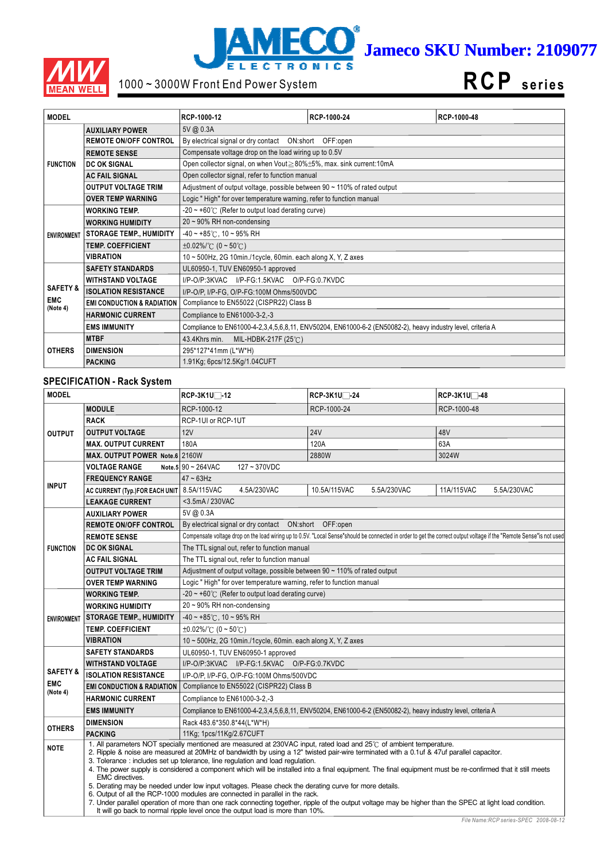



# 1000 ~ 3000W Front End Power System

**RCP s e ri e s**

| <b>MODEL</b>           |                                       | RCP-1000-12                                                                    | RCP-1000-24                                                                                                 | RCP-1000-48 |  |  |  |
|------------------------|---------------------------------------|--------------------------------------------------------------------------------|-------------------------------------------------------------------------------------------------------------|-------------|--|--|--|
|                        | <b>AUXILIARY POWER</b>                | 5V @ 0.3A                                                                      |                                                                                                             |             |  |  |  |
|                        | <b>REMOTE ON/OFF CONTROL</b>          | By electrical signal or dry contact  ON:short  OFF:open                        |                                                                                                             |             |  |  |  |
|                        | <b>REMOTE SENSE</b>                   | Compensate voltage drop on the load wiring up to 0.5V                          |                                                                                                             |             |  |  |  |
| <b>FUNCTION</b>        | <b>DC OK SIGNAL</b>                   | Open collector signal, on when Vout≧80%±5%, max. sink current:10mA             |                                                                                                             |             |  |  |  |
|                        | <b>AC FAIL SIGNAL</b>                 | Open collector signal, refer to function manual                                |                                                                                                             |             |  |  |  |
|                        | <b>OUTPUT VOLTAGE TRIM</b>            | Adjustment of output voltage, possible between $90 \sim 110\%$ of rated output |                                                                                                             |             |  |  |  |
|                        | <b>OVER TEMP WARNING</b>              | Logic "High" for over temperature warning, refer to function manual            |                                                                                                             |             |  |  |  |
|                        | <b>WORKING TEMP.</b>                  | $-20 \sim +60^{\circ}$ (Refer to output load derating curve)                   |                                                                                                             |             |  |  |  |
|                        | <b>WORKING HUMIDITY</b>               | $20 \sim 90\%$ RH non-condensing                                               |                                                                                                             |             |  |  |  |
| <b>ENVIRONMENT</b>     | <b>STORAGE TEMP., HUMIDITY</b>        | $-40 \sim +85^{\circ}$ C, 10 ~ 95% RH                                          |                                                                                                             |             |  |  |  |
|                        | <b>TEMP. COEFFICIENT</b>              | $\pm 0.02\%$ (0 ~ 50°C)                                                        |                                                                                                             |             |  |  |  |
|                        | <b>VIBRATION</b>                      | 10 ~ 500Hz, 2G 10min./1cycle, 60min. each along X, Y, Z axes                   |                                                                                                             |             |  |  |  |
|                        | <b>SAFETY STANDARDS</b>               | UL60950-1, TUV EN60950-1 approved                                              |                                                                                                             |             |  |  |  |
|                        | <b>WITHSTAND VOLTAGE</b>              |                                                                                | I/P-O/P:3KVAC I/P-FG:1.5KVAC O/P-FG:0.7KVDC                                                                 |             |  |  |  |
| <b>SAFETY &amp;</b>    | <b>ISOLATION RESISTANCE</b>           | I/P-O/P, I/P-FG, O/P-FG:100M Ohms/500VDC                                       |                                                                                                             |             |  |  |  |
| <b>EMC</b><br>(Note 4) | <b>EMI CONDUCTION &amp; RADIATION</b> | Compliance to EN55022 (CISPR22) Class B                                        |                                                                                                             |             |  |  |  |
|                        | <b>HARMONIC CURRENT</b>               | Compliance to EN61000-3-2,-3                                                   |                                                                                                             |             |  |  |  |
|                        | <b>EMS IMMUNITY</b>                   |                                                                                | Compliance to EN61000-4-2,3,4,5,6,8,11, ENV50204, EN61000-6-2 (EN50082-2), heavy industry level, criteria A |             |  |  |  |
|                        | <b>MTBF</b>                           | MIL-HDBK-217F $(25^{\circ}$ C)<br>43.4Khrs min.                                |                                                                                                             |             |  |  |  |
| <b>OTHERS</b>          | <b>DIMENSION</b>                      | 295*127*41mm (L*W*H)                                                           |                                                                                                             |             |  |  |  |
|                        | <b>PACKING</b>                        | 1.91Kg; 6pcs/12.5Kg/1.04CUFT                                                   |                                                                                                             |             |  |  |  |

#### **SPECIFICATION - Rack System**

| <b>MODEL</b>                        |                                       | RCP-3K1U□-12                                                                                                                                                                                                                                                                                                                                                                                                                                                                                                                                                                                                                                                                                                                                                                                                                                                                                                                                         | RCP-3K1U <sup>-1</sup> -24                                                                                  | RCP-3K1U <sup>-48</sup>                                                                                                                                             |  |  |  |
|-------------------------------------|---------------------------------------|------------------------------------------------------------------------------------------------------------------------------------------------------------------------------------------------------------------------------------------------------------------------------------------------------------------------------------------------------------------------------------------------------------------------------------------------------------------------------------------------------------------------------------------------------------------------------------------------------------------------------------------------------------------------------------------------------------------------------------------------------------------------------------------------------------------------------------------------------------------------------------------------------------------------------------------------------|-------------------------------------------------------------------------------------------------------------|---------------------------------------------------------------------------------------------------------------------------------------------------------------------|--|--|--|
|                                     | <b>MODULE</b>                         | RCP-1000-12                                                                                                                                                                                                                                                                                                                                                                                                                                                                                                                                                                                                                                                                                                                                                                                                                                                                                                                                          | RCP-1000-24                                                                                                 | RCP-1000-48                                                                                                                                                         |  |  |  |
|                                     | <b>RACK</b>                           | RCP-1UI or RCP-1UT                                                                                                                                                                                                                                                                                                                                                                                                                                                                                                                                                                                                                                                                                                                                                                                                                                                                                                                                   |                                                                                                             |                                                                                                                                                                     |  |  |  |
| <b>OUTPUT</b>                       | <b>OUTPUT VOLTAGE</b>                 | 12V                                                                                                                                                                                                                                                                                                                                                                                                                                                                                                                                                                                                                                                                                                                                                                                                                                                                                                                                                  | <b>24V</b>                                                                                                  | 48V                                                                                                                                                                 |  |  |  |
|                                     | <b>MAX. OUTPUT CURRENT</b>            | 180A                                                                                                                                                                                                                                                                                                                                                                                                                                                                                                                                                                                                                                                                                                                                                                                                                                                                                                                                                 | 120A                                                                                                        | 63A                                                                                                                                                                 |  |  |  |
|                                     | MAX. OUTPUT POWER Note.6 2160W        |                                                                                                                                                                                                                                                                                                                                                                                                                                                                                                                                                                                                                                                                                                                                                                                                                                                                                                                                                      | 2880W                                                                                                       | 3024W                                                                                                                                                               |  |  |  |
|                                     | <b>VOLTAGE RANGE</b>                  | Note.5 $90 \sim 264$ VAC<br>127~370VDC                                                                                                                                                                                                                                                                                                                                                                                                                                                                                                                                                                                                                                                                                                                                                                                                                                                                                                               |                                                                                                             |                                                                                                                                                                     |  |  |  |
|                                     | <b>FREQUENCY RANGE</b>                | $47 \sim 63$ Hz                                                                                                                                                                                                                                                                                                                                                                                                                                                                                                                                                                                                                                                                                                                                                                                                                                                                                                                                      |                                                                                                             |                                                                                                                                                                     |  |  |  |
| <b>INPUT</b>                        | AC CURRENT (Typ.)FOR EACH UNIT        | 8.5A/115VAC<br>4.5A/230VAC                                                                                                                                                                                                                                                                                                                                                                                                                                                                                                                                                                                                                                                                                                                                                                                                                                                                                                                           | 10.5A/115VAC<br>5.5A/230VAC                                                                                 | 11A/115VAC<br>5.5A/230VAC                                                                                                                                           |  |  |  |
|                                     | <b>LEAKAGE CURRENT</b>                | <3.5mA / 230VAC                                                                                                                                                                                                                                                                                                                                                                                                                                                                                                                                                                                                                                                                                                                                                                                                                                                                                                                                      |                                                                                                             |                                                                                                                                                                     |  |  |  |
| 5V @ 0.3A<br><b>AUXILIARY POWER</b> |                                       |                                                                                                                                                                                                                                                                                                                                                                                                                                                                                                                                                                                                                                                                                                                                                                                                                                                                                                                                                      |                                                                                                             |                                                                                                                                                                     |  |  |  |
|                                     | <b>REMOTE ON/OFF CONTROL</b>          | By electrical signal or dry contact  ON:short  OFF:open                                                                                                                                                                                                                                                                                                                                                                                                                                                                                                                                                                                                                                                                                                                                                                                                                                                                                              |                                                                                                             |                                                                                                                                                                     |  |  |  |
|                                     | <b>REMOTE SENSE</b>                   |                                                                                                                                                                                                                                                                                                                                                                                                                                                                                                                                                                                                                                                                                                                                                                                                                                                                                                                                                      |                                                                                                             | Compensate voltage drop on the load wiring up to 0.5V. "Local Sense"should be connected in order to get the correct output voltage if the "Remote Sense"is not used |  |  |  |
| <b>FUNCTION</b>                     | <b>DC OK SIGNAL</b>                   |                                                                                                                                                                                                                                                                                                                                                                                                                                                                                                                                                                                                                                                                                                                                                                                                                                                                                                                                                      | The TTL signal out, refer to function manual                                                                |                                                                                                                                                                     |  |  |  |
|                                     | <b>AC FAIL SIGNAL</b>                 | The TTL signal out, refer to function manual                                                                                                                                                                                                                                                                                                                                                                                                                                                                                                                                                                                                                                                                                                                                                                                                                                                                                                         |                                                                                                             |                                                                                                                                                                     |  |  |  |
|                                     | <b>OUTPUT VOLTAGE TRIM</b>            | Adjustment of output voltage, possible between 90 ~ 110% of rated output                                                                                                                                                                                                                                                                                                                                                                                                                                                                                                                                                                                                                                                                                                                                                                                                                                                                             |                                                                                                             |                                                                                                                                                                     |  |  |  |
|                                     | <b>OVER TEMP WARNING</b>              | Logic "High" for over temperature warning, refer to function manual                                                                                                                                                                                                                                                                                                                                                                                                                                                                                                                                                                                                                                                                                                                                                                                                                                                                                  |                                                                                                             |                                                                                                                                                                     |  |  |  |
|                                     | <b>WORKING TEMP.</b>                  | $-20 \sim +60^{\circ}$ (Refer to output load derating curve)                                                                                                                                                                                                                                                                                                                                                                                                                                                                                                                                                                                                                                                                                                                                                                                                                                                                                         |                                                                                                             |                                                                                                                                                                     |  |  |  |
|                                     | <b>WORKING HUMIDITY</b>               | 20~90% RH non-condensing                                                                                                                                                                                                                                                                                                                                                                                                                                                                                                                                                                                                                                                                                                                                                                                                                                                                                                                             |                                                                                                             |                                                                                                                                                                     |  |  |  |
| <b>ENVIRONMENT</b>                  | <b>STORAGE TEMP., HUMIDITY</b>        | $-40 \sim +85^{\circ}$ C, 10 ~ 95% RH                                                                                                                                                                                                                                                                                                                                                                                                                                                                                                                                                                                                                                                                                                                                                                                                                                                                                                                |                                                                                                             |                                                                                                                                                                     |  |  |  |
|                                     | <b>TEMP. COEFFICIENT</b>              | $\pm 0.02\%$ /°C (0 ~ 50°C)                                                                                                                                                                                                                                                                                                                                                                                                                                                                                                                                                                                                                                                                                                                                                                                                                                                                                                                          |                                                                                                             |                                                                                                                                                                     |  |  |  |
|                                     | <b>VIBRATION</b>                      | 10 ~ 500Hz, 2G 10min./1cycle, 60min. each along X, Y, Z axes                                                                                                                                                                                                                                                                                                                                                                                                                                                                                                                                                                                                                                                                                                                                                                                                                                                                                         |                                                                                                             |                                                                                                                                                                     |  |  |  |
|                                     | <b>SAFETY STANDARDS</b>               | UL60950-1, TUV EN60950-1 approved                                                                                                                                                                                                                                                                                                                                                                                                                                                                                                                                                                                                                                                                                                                                                                                                                                                                                                                    |                                                                                                             |                                                                                                                                                                     |  |  |  |
|                                     | <b>WITHSTAND VOLTAGE</b>              | I/P-O/P:3KVAC I/P-FG:1.5KVAC O/P-FG:0.7KVDC                                                                                                                                                                                                                                                                                                                                                                                                                                                                                                                                                                                                                                                                                                                                                                                                                                                                                                          |                                                                                                             |                                                                                                                                                                     |  |  |  |
| <b>SAFETY &amp;</b>                 | <b>ISOLATION RESISTANCE</b>           | I/P-O/P, I/P-FG, O/P-FG:100M Ohms/500VDC                                                                                                                                                                                                                                                                                                                                                                                                                                                                                                                                                                                                                                                                                                                                                                                                                                                                                                             |                                                                                                             |                                                                                                                                                                     |  |  |  |
| <b>EMC</b><br>(Note 4)              | <b>EMI CONDUCTION &amp; RADIATION</b> | Compliance to EN55022 (CISPR22) Class B                                                                                                                                                                                                                                                                                                                                                                                                                                                                                                                                                                                                                                                                                                                                                                                                                                                                                                              |                                                                                                             |                                                                                                                                                                     |  |  |  |
|                                     | <b>HARMONIC CURRENT</b>               | Compliance to EN61000-3-2,-3                                                                                                                                                                                                                                                                                                                                                                                                                                                                                                                                                                                                                                                                                                                                                                                                                                                                                                                         |                                                                                                             |                                                                                                                                                                     |  |  |  |
|                                     | <b>EMS IMMUNITY</b>                   |                                                                                                                                                                                                                                                                                                                                                                                                                                                                                                                                                                                                                                                                                                                                                                                                                                                                                                                                                      | Compliance to EN61000-4-2,3,4,5,6,8,11, ENV50204, EN61000-6-2 (EN50082-2), heavy industry level, criteria A |                                                                                                                                                                     |  |  |  |
| <b>OTHERS</b>                       | <b>DIMENSION</b>                      | Rack 483.6*350.8*44(L*W*H)                                                                                                                                                                                                                                                                                                                                                                                                                                                                                                                                                                                                                                                                                                                                                                                                                                                                                                                           |                                                                                                             |                                                                                                                                                                     |  |  |  |
|                                     | <b>PACKING</b>                        | 11Kg; 1pcs/11Kg/2.67CUFT                                                                                                                                                                                                                                                                                                                                                                                                                                                                                                                                                                                                                                                                                                                                                                                                                                                                                                                             |                                                                                                             |                                                                                                                                                                     |  |  |  |
| <b>NOTE</b>                         | <b>EMC</b> directives.                | 1. All parameters NOT specially mentioned are measured at 230VAC input, rated load and 25°C of ambient temperature.<br>2. Ripple & noise are measured at 20MHz of bandwidth by using a 12" twisted pair-wire terminated with a 0.1uf & 47uf parallel capacitor.<br>3. Tolerance: includes set up tolerance, line regulation and load regulation.<br>4. The power supply is considered a component which will be installed into a final equipment. The final equipment must be re-confirmed that it still meets<br>5. Derating may be needed under low input voltages. Please check the derating curve for more details.<br>6. Output of all the RCP-1000 modules are connected in parallel in the rack.<br>7. Under parallel operation of more than one rack connecting together, ripple of the output voltage may be higher than the SPEC at light load condition.<br>It will go back to normal ripple level once the output load is more than 10%. |                                                                                                             |                                                                                                                                                                     |  |  |  |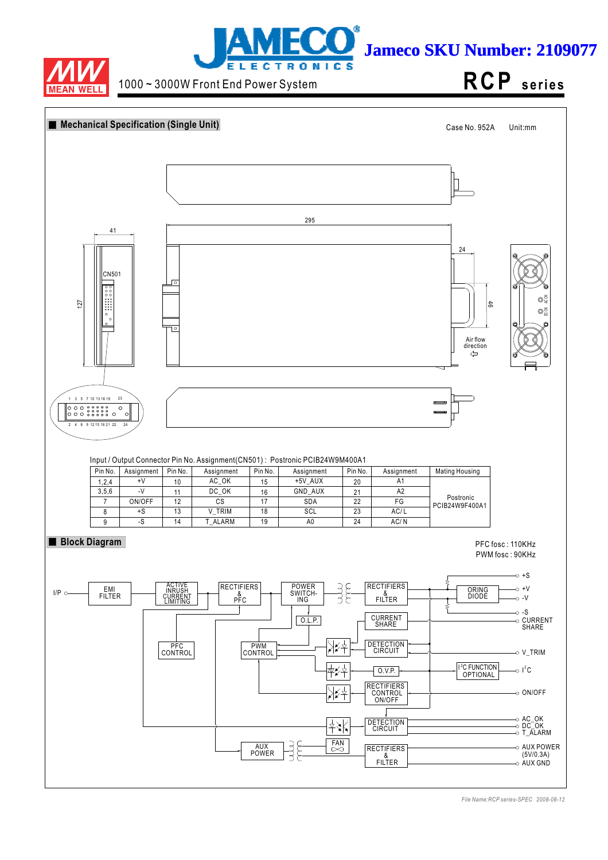



1000 ~ 3000W Front End Power System

**RCP s e ri e s**

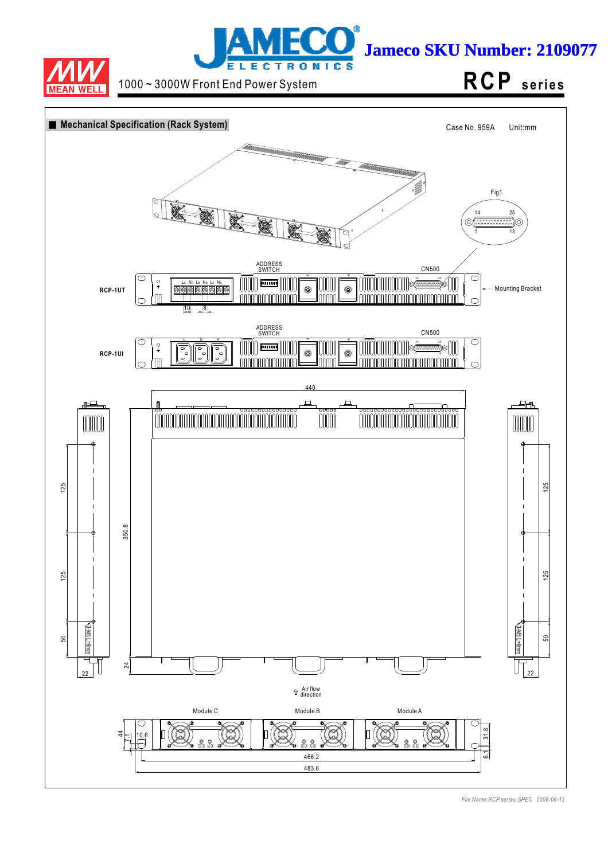



1000 ~ 3000W Front End Power System **RCP** series

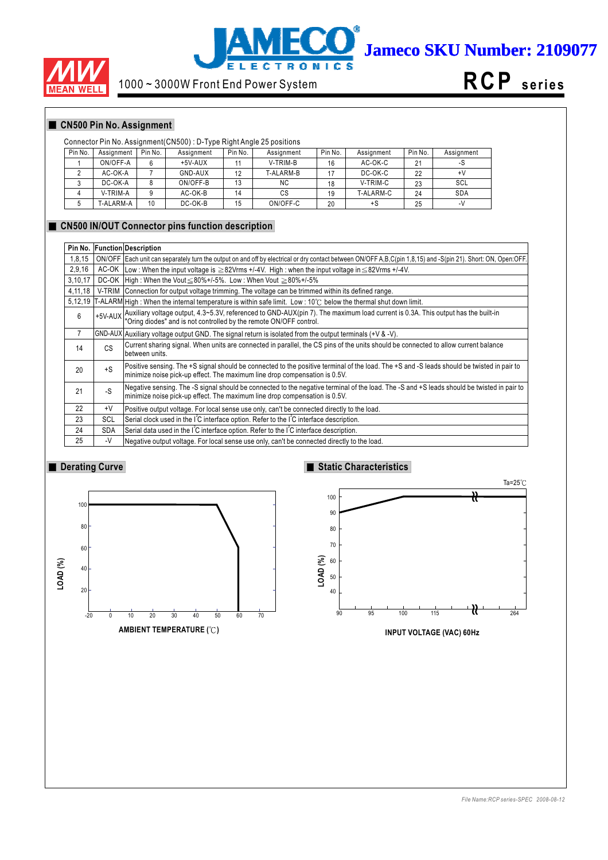



# 1000 ~ 3000W Front End Power System



## **CN500 Pin No. Assignment**

#### Connector Pin No. Assignment(CN500) : D-Type Right Angle 25 positions

| Pin No. | Assignment | Pin No. | Assignment | Pin No. | Assignment | Pin No. | Assignment | Pin No. | Assignment |
|---------|------------|---------|------------|---------|------------|---------|------------|---------|------------|
|         | ON/OFF-A   | 6       | $+5V-AUX$  |         | V-TRIM-B   | 16      | AC-OK-C    | 21      | -১         |
|         | AC-OK-A    |         | GND-AUX    | 12      | T-ALARM-B  |         | DC-OK-C    | 22      | +٧         |
|         | DC-OK-A    |         | ON/OFF-B   | 13      | <b>NC</b>  | 18      | V-TRIM-C   | 23      | SCL        |
|         | V-TRIM-A   |         | AC-OK-B    | 14      | СS         | 19      | T-ALARM-C  | 24      | <b>SDA</b> |
|         | T-ALARM-A  | 10      | DC-OK-B    | 15      | ON/OFF-C   | 20      | +S         | 25      | $-V$       |

#### **CN500 IN/OUT Connector pins function description**

| Pin No. |              | <b>Function Description</b>                                                                                                                                                                                                      |
|---------|--------------|----------------------------------------------------------------------------------------------------------------------------------------------------------------------------------------------------------------------------------|
| 1,8,15  |              | ON/OFF   Each unit can separately turn the output on and off by electrical or dry contact between ON/OFF A,B,C(pin 1,8,15) and -S(pin 21). Short: ON, Open:OFF.                                                                  |
| 2,9,16  |              | AC-OK Low: When the input voltage is $\geq$ 82Vrms +/-4V. High: when the input voltage in $\leq$ 82Vrms +/-4V.                                                                                                                   |
| 3,10,17 |              | DC-OK   High: When the Vout $\leq 80\% + 1.5\%$ . Low: When Vout $\geq 80\% + 1.5\%$                                                                                                                                             |
| 4,11,18 |              | V-TRIM Connection for output voltage trimming. The voltage can be trimmed within its defined range.                                                                                                                              |
|         |              | 5,12,19 T-ALARM High: When the internal temperature is within safe limit. Low: 10°C below the thermal shut down limit.                                                                                                           |
| 6       |              | $+5$ V-AUX $\bigg $ Auxiliary voltage output, 4.3~5.3V, referenced to GND-AUX(pin 7). The maximum load current is 0.3A. This output has the built-in $\bigg $ "Oring diodes" and is not controlled by the remote ON/OFF control. |
| 7       |              | $ GND-AUX $ Auxiliary voltage output GND. The signal return is isolated from the output terminals (+V & -V).                                                                                                                     |
| 14      | CS           | Current sharing signal. When units are connected in parallel, the CS pins of the units should be connected to allow current balance<br>between units.                                                                            |
| 20      | $+S$         | Positive sensing. The +S signal should be connected to the positive terminal of the load. The +S and -S leads should be twisted in pair to<br>minimize noise pick-up effect. The maximum line drop compensation is 0.5V.         |
| 21      | -S           | Negative sensing. The -S signal should be connected to the negative terminal of the load. The -S and +S leads should be twisted in pair to<br>minimize noise pick-up effect. The maximum line drop compensation is 0.5V.         |
| 22      | $+V$         | Positive output voltage. For local sense use only, can't be connected directly to the load.                                                                                                                                      |
| 23      | <b>SCL</b>   | Serial clock used in the IC interface option. Refer to the IC interface description.                                                                                                                                             |
| 24      | <b>SDA</b>   | Serial data used in the I <sup>'</sup> C interface option. Refer to the I <sup>'</sup> C interface description.                                                                                                                  |
| 25      | $\mathsf{V}$ | Negative output voltage. For local sense use only, can't be connected directly to the load.                                                                                                                                      |

## **Derating Curve**



## **Static Characteristics**



**INPUT VOLTAGE (VAC) 60Hz**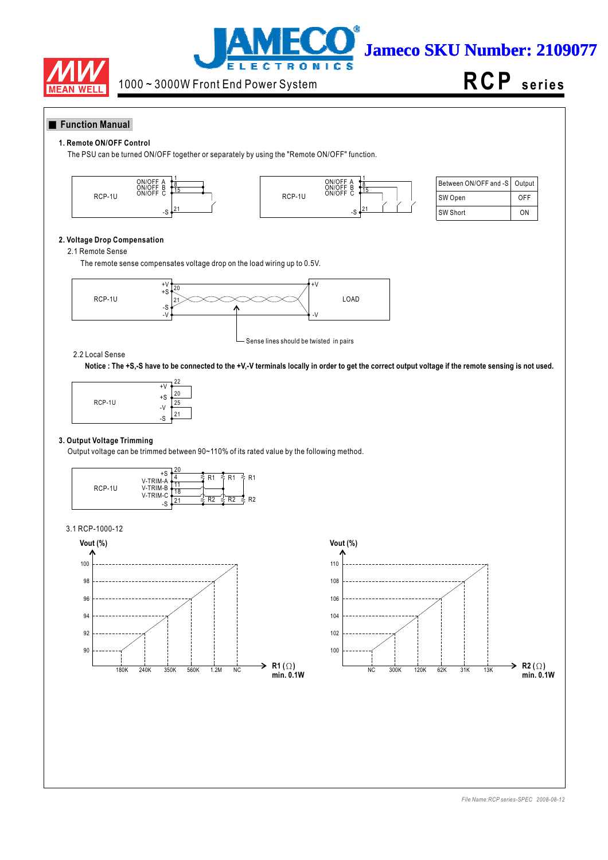



**RCP s e ri e s**

#### **Function Manual**

#### **1. Remote ON/OFF Control**

The PSU can be turned ON/OFF together or separately by using the "Remote ON/OFF" function.





| Between ON/OFF and -S   Output |     |
|--------------------------------|-----|
| SW Open                        | OFF |
| SW Short                       | ωN  |

#### **2. Voltage Drop Compensation**

#### 2.1 Remote Sense

The remote sense compensates voltage drop on the load wiring up to 0.5V.



#### 2.2 Local Sense

**Notice : The +S,-S have to be connected to the +V,-V terminals locally in order to get the correct output voltage if the remote sensing is not used.**



#### **3. Output Voltage Trimming**

Output voltage can be trimmed between 90~110% of its rated value by the following method.



#### 3.1 RCP-1000-12



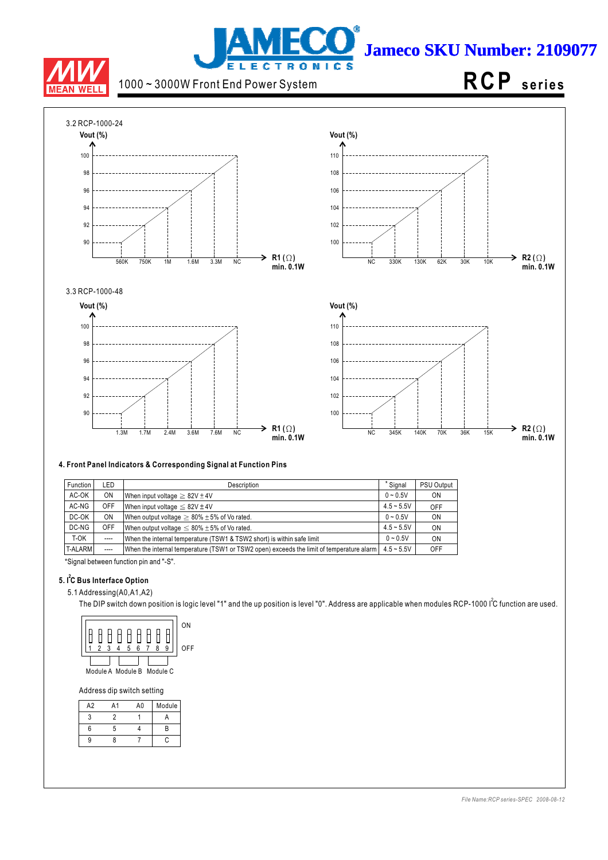

# j **Jameco SKU Number: 2109077 LECTRONICS**

# 1000 ~ 3000W Front End Power System

# **RCP s e ri e s**



#### **4. Front Panel Indicators & Corresponding Signal at Function Pins**

| Function       | LED       | Description                                                                              | * Signal     | PSU Output |
|----------------|-----------|------------------------------------------------------------------------------------------|--------------|------------|
| AC-OK          | <b>ON</b> | When input voltage $\geq 82V \pm 4V$                                                     | $0 - 0.5V$   | <b>ON</b>  |
| AC-NG          | OFF       | When input voltage $\leq 82V \pm 4V$                                                     | $4.5 - 5.5V$ | OFF        |
| DC-OK          | <b>ON</b> | When output voltage $\geq 80\% \pm 5\%$ of Vo rated.                                     | $0 - 0.5V$   | ON         |
| DC-NG          | OFF       | When output voltage $\leq 80\% \pm 5\%$ of Vo rated.                                     | $4.5 - 5.5V$ | ON         |
| T-OK           | $---$     | When the internal temperature (TSW1 & TSW2 short) is within safe limit                   | $0 - 0.5V$   | ON         |
| <b>T-ALARM</b> | $---$     | When the internal temperature (TSW1 or TSW2 open) exceeds the limit of temperature alarm | $4.5 - 5.5V$ | OFF        |

\*Signal between function pin and "-S".

#### **5. I C Bus Interface Option 2**

5.1 Addressing(A0,A1,A2)

The DIP switch down position is logic level "1" and the up position is level "0". Address are applicable when modules RCP-1000 I<sup>2</sup>C function are used.



Address dip switch setting

| A <sub>2</sub> | A <sub>1</sub> | A0 | Module |
|----------------|----------------|----|--------|
|                |                |    |        |
| 6              | 5              |    | R      |
|                |                |    |        |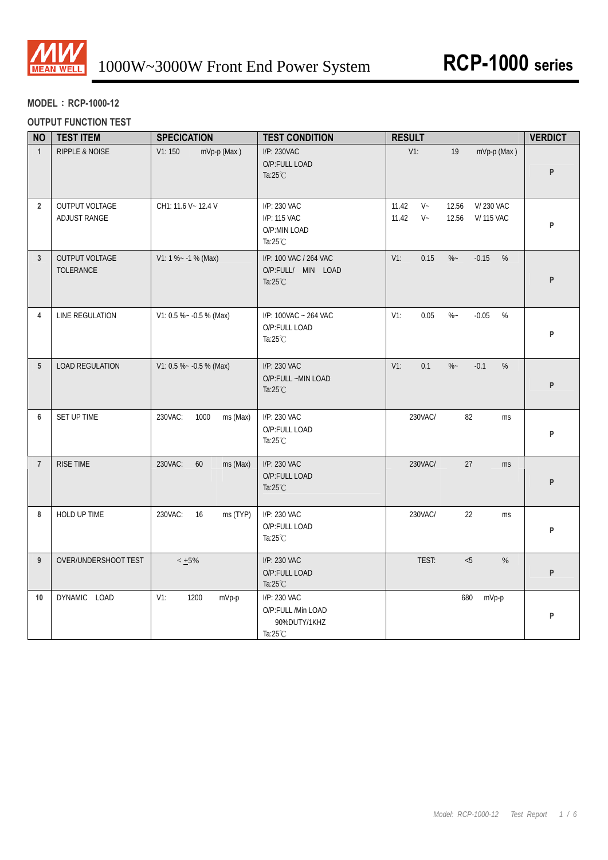

## **MODEL**:**RCP-1000-12**

## **OUTPUT FUNCTION TEST**

| <b>NO</b>       | <b>TEST ITEM</b>                      | <b>SPECICATION</b>          | <b>TEST CONDITION</b>                                                    | <b>RESULT</b>                                                                | <b>VERDICT</b> |
|-----------------|---------------------------------------|-----------------------------|--------------------------------------------------------------------------|------------------------------------------------------------------------------|----------------|
| $\mathbf{1}$    | RIPPLE & NOISE                        | V1:150<br>mVp-p (Max)       | I/P: 230VAC<br>O/P:FULL LOAD<br>Ta: $25^{\circ}$ C                       | $V1$ :<br>mVp-p (Max)<br>19                                                  | P              |
| $2^{\circ}$     | <b>OUTPUT VOLTAGE</b><br>ADJUST RANGE | CH1: 11.6 V ~ 12.4 V        | I/P: 230 VAC<br>I/P: 115 VAC<br>O/P:MIN LOAD<br>Ta: $25^{\circ}$ C       | $V -$<br>11.42<br>12.56<br>V/230 VAC<br>$V -$<br>11.42<br>12.56<br>V/115 VAC | P              |
| $\mathbf{3}$    | OUTPUT VOLTAGE<br>TOLERANCE           | $V1: 1 % - 1 % (Max)$       | I/P: 100 VAC / 264 VAC<br>O/P:FULL/ MIN LOAD<br>Ta: $25^{\circ}$ C       | $V1$ :<br>0.15<br>$\%$ ~<br>$-0.15$<br>%                                     | P              |
| 4               | LINE REGULATION                       | V1: 0.5 % ~ - 0.5 % (Max)   | I/P: 100VAC ~ 264 VAC<br>O/P:FULL LOAD<br>Ta: $25^{\circ}$ C             | 0.05<br>$\%$ ~<br>$-0.05$<br>%<br>$V1$ :                                     | P              |
| 5 <sup>5</sup>  | <b>LOAD REGULATION</b>                | V1: 0.5 % ~ - 0.5 % (Max)   | I/P: 230 VAC<br>O/P:FULL ~MIN LOAD<br>Ta: $25^{\circ}$ C                 | 0.1<br>$\%$ ~<br>$-0.1$<br>$\%$<br>$V1$ :                                    | P              |
| 6               | SET UP TIME                           | 230VAC:<br>1000<br>ms (Max) | I/P: 230 VAC<br>O/P:FULL LOAD<br>Ta: $25^{\circ}$ C                      | 230VAC/<br>82<br>ms                                                          | P              |
| $\overline{7}$  | RISE TIME                             | 230VAC:<br>60<br>ms (Max)   | I/P: 230 VAC<br>O/P:FULL LOAD<br>Ta: $25^{\circ}$ C                      | 230VAC/<br>27<br><b>ms</b>                                                   | P              |
| 8               | HOLD UP TIME                          | 230VAC:<br>16<br>ms (TYP)   | I/P: 230 VAC<br>O/P:FULL LOAD<br>Ta: $25^{\circ}$ C                      | 230VAC/<br>22<br>ms                                                          | P              |
| 9 <sup>°</sup>  | OVER/UNDERSHOOT TEST                  | $< 1.5\%$                   | I/P: 230 VAC<br>O/P:FULL LOAD<br>Ta: $25^{\circ}$ C                      | TEST:<br>< 5<br>$\%$                                                         | P              |
| 10 <sup>°</sup> | DYNAMIC LOAD                          | $V1$ :<br>1200<br>mVp-p     | I/P: 230 VAC<br>O/P:FULL /Min LOAD<br>90%DUTY/1KHZ<br>Ta: $25^{\circ}$ C | 680<br>mVp-p                                                                 | P              |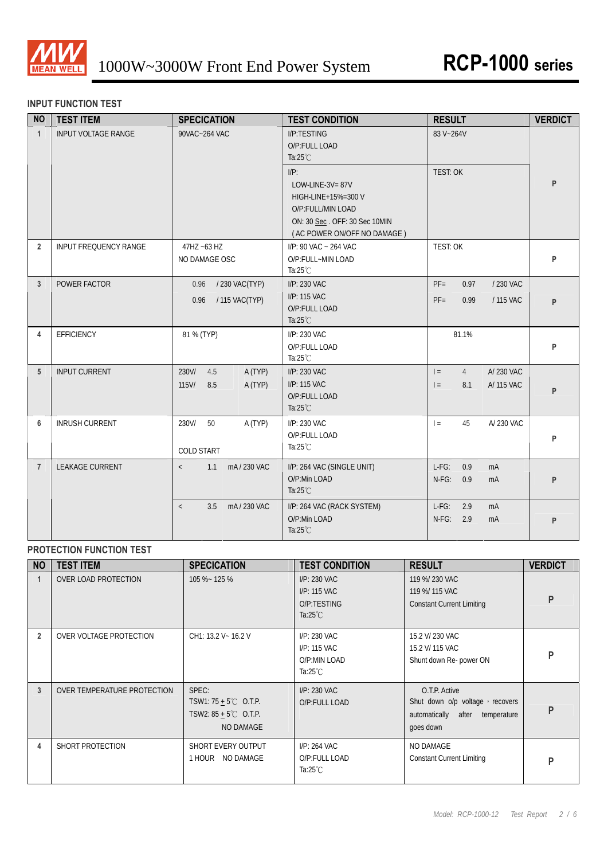

## **INPUT FUNCTION TEST**

| <b>NO</b>      | <b>TEST ITEM</b>           | <b>SPECICATION</b>                                    | <b>TEST CONDITION</b>                                                                                                                                                                        | <b>RESULT</b>                                                        | <b>VERDICT</b> |
|----------------|----------------------------|-------------------------------------------------------|----------------------------------------------------------------------------------------------------------------------------------------------------------------------------------------------|----------------------------------------------------------------------|----------------|
| $\mathbf{1}$   | <b>INPUT VOLTAGE RANGE</b> | 90VAC~264 VAC                                         | I/P:TESTING<br>O/P:FULL LOAD<br>Ta: $25^{\circ}$ C<br>$I/P$ :<br>LOW-LINE-3V=87V<br>HIGH-LINE+15%=300 V<br>O/P:FULL/MIN LOAD<br>ON: 30 Sec. OFF: 30 Sec 10MIN<br>(AC POWER ON/OFF NO DAMAGE) | 83 V~264V<br><b>TEST: OK</b>                                         | P              |
| $\overline{2}$ | INPUT FREQUENCY RANGE      | 47HZ ~63 HZ<br>NO DAMAGE OSC                          | I/P: 90 VAC ~ 264 VAC<br>O/P:FULL~MIN LOAD<br>Ta: $25^{\circ}$ C                                                                                                                             | TEST: OK                                                             | P              |
| 3              | POWER FACTOR               | / 230 VAC(TYP)<br>0.96<br>/ 115 VAC(TYP)<br>0.96      | I/P: 230 VAC<br>I/P: 115 VAC<br>O/P:FULL LOAD<br>Ta: $25^{\circ}$ C                                                                                                                          | $PF =$<br>0.97<br>/ 230 VAC<br>$PF =$<br>0.99<br>/ 115 VAC           | P              |
| 4              | <b>EFFICIENCY</b>          | 81 % (TYP)                                            | I/P: 230 VAC<br>O/P:FULL LOAD<br>Ta: $25^{\circ}$ C                                                                                                                                          | 81.1%                                                                | P              |
| 5              | <b>INPUT CURRENT</b>       | 230V/<br>4.5<br>A (TYP)<br>$115$ V/<br>8.5<br>A (TYP) | I/P: 230 VAC<br>I/P: 115 VAC<br>O/P:FULL LOAD<br>Ta: $25^{\circ}$ C                                                                                                                          | A/230 VAC<br>$=$<br>$\overline{4}$<br>8.1<br>A/ 115 VAC<br>$\vert$ = | P              |
| 6              | <b>INRUSH CURRENT</b>      | 230V/<br>50<br>A (TYP)<br><b>COLD START</b>           | I/P: 230 VAC<br>O/P:FULL LOAD<br>Ta: $25^{\circ}$ C                                                                                                                                          | 45<br>$\vert$ =<br>A/ 230 VAC                                        | P              |
| $\overline{7}$ | <b>LEAKAGE CURRENT</b>     | 1.1<br>mA/230 VAC<br>$\langle$                        | I/P: 264 VAC (SINGLE UNIT)<br>O/P:Min LOAD<br>Ta: $25^{\circ}$ C                                                                                                                             | $L-FG$ :<br>0.9<br>mA<br>$N-FG$ :<br>0.9<br>mA                       | P              |
|                |                            | mA/230 VAC<br>3.5<br>$\langle$                        | I/P: 264 VAC (RACK SYSTEM)<br>O/P:Min LOAD<br>Ta: $25^{\circ}$ C                                                                                                                             | $L-FG$ :<br>2.9<br>mA<br>$N-FG$ :<br>2.9<br>mA                       | P              |

## **PROTECTION FUNCTION TEST**

| <b>NO</b>      | <b>TEST ITEM</b>            | <b>SPECICATION</b>                                                                       | <b>TEST CONDITION</b>                                              | <b>RESULT</b>                                                                                       | <b>VERDICT</b> |
|----------------|-----------------------------|------------------------------------------------------------------------------------------|--------------------------------------------------------------------|-----------------------------------------------------------------------------------------------------|----------------|
|                | <b>OVER LOAD PROTECTION</b> | 105 %~ 125 %                                                                             | I/P: 230 VAC<br>I/P: 115 VAC<br>O/P:TESTING<br>Ta: $25^{\circ}$ C  | 119 %/ 230 VAC<br>119 %/ 115 VAC<br><b>Constant Current Limiting</b>                                | P              |
| $\overline{2}$ | OVER VOLTAGE PROTECTION     | CH1: 13.2 V ~ 16.2 V                                                                     | I/P: 230 VAC<br>I/P: 115 VAC<br>O/P:MIN LOAD<br>Ta: $25^{\circ}$ C | 15.2 V/ 230 VAC<br>15.2 V/ 115 VAC<br>Shunt down Re- power ON                                       | P              |
| 3              | OVER TEMPERATURE PROTECTION | SPEC:<br>TSW1: $75 + 5^{\circ}$ C O.T.P.<br>TSW2: $85 + 5^{\circ}$ C O.T.P.<br>NO DAMAGE | I/P: 230 VAC<br>O/P:FULL LOAD                                      | O.T.P. Active<br>Shut down o/p voltage, recovers<br>automatically after<br>temperature<br>goes down | P              |
| 4              | SHORT PROTECTION            | SHORT EVERY OUTPUT<br>1 HOUR NO DAMAGE                                                   | I/P: 264 VAC<br>O/P:FULL LOAD<br>Ta: $25^{\circ}$ C                | NO DAMAGE<br><b>Constant Current Limiting</b>                                                       | P              |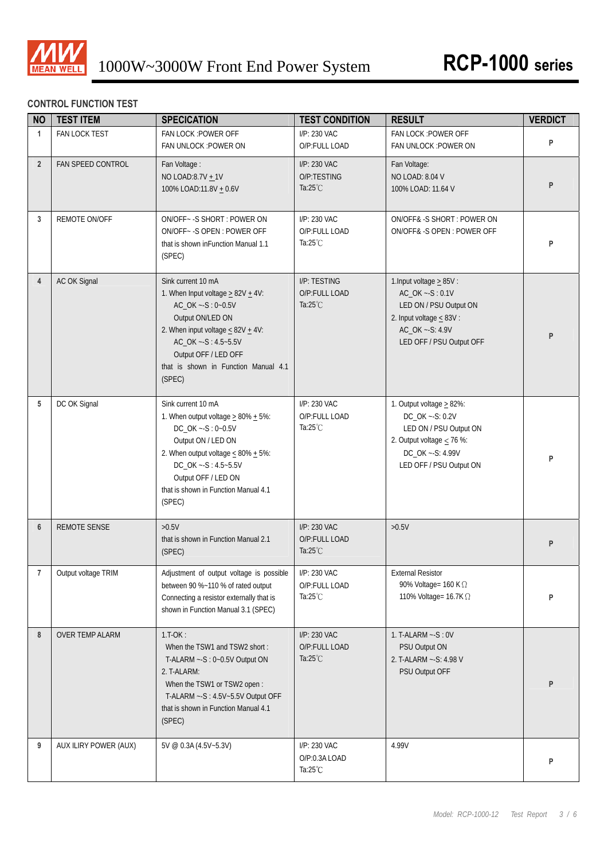

## **CONTROL FUNCTION TEST**

| <b>NO</b>      | <b>TEST ITEM</b>       | <b>SPECICATION</b>                                                                                                                                                                                                                                           | <b>TEST CONDITION</b>                               | <b>RESULT</b>                                                                                                                                                 | <b>VERDICT</b> |
|----------------|------------------------|--------------------------------------------------------------------------------------------------------------------------------------------------------------------------------------------------------------------------------------------------------------|-----------------------------------------------------|---------------------------------------------------------------------------------------------------------------------------------------------------------------|----------------|
| $\mathbf{1}$   | FAN LOCK TEST          | FAN LOCK : POWER OFF<br>FAN UNLOCK : POWER ON                                                                                                                                                                                                                | I/P: 230 VAC<br>O/P:FULL LOAD                       | FAN LOCK : POWER OFF<br>FAN UNLOCK : POWER ON                                                                                                                 | P              |
| $2^{\circ}$    | FAN SPEED CONTROL      | Fan Voltage:<br>NO LOAD:8.7V + 1V<br>100% LOAD:11.8V + 0.6V                                                                                                                                                                                                  | I/P: 230 VAC<br>O/P:TESTING<br>Ta: $25^{\circ}$ C   | Fan Voltage:<br><b>NO LOAD: 8.04 V</b><br>100% LOAD: 11.64 V                                                                                                  | P              |
| 3              | REMOTE ON/OFF          | ON/OFF~ - S SHORT : POWER ON<br>ON/OFF~ - S OPEN: POWER OFF<br>that is shown in Function Manual 1.1<br>(SPEC)                                                                                                                                                | I/P: 230 VAC<br>O/P:FULL LOAD<br>Ta: $25^{\circ}$ C | ON/OFF&-S SHORT: POWER ON<br>ON/OFF& -S OPEN : POWER OFF                                                                                                      | P              |
| $\overline{4}$ | AC OK Signal           | Sink current 10 mA<br>1. When Input voltage $\geq$ 82V $\pm$ 4V:<br>AC_OK ~- S: 0~0.5V<br>Output ON/LED ON<br>2. When input voltage $\leq 82V + 4V$ :<br>AC_OK ~- S: 4.5~5.5V<br>Output OFF / LED OFF<br>that is shown in Function Manual 4.1<br>(SPEC)      | I/P: TESTING<br>O/P:FULL LOAD<br>Ta: $25^{\circ}$ C | 1. Input voltage $\geq$ 85V :<br>AC_OK ~- S: 0.1V<br>LED ON / PSU Output ON<br>2. Input voltage $\leq 83V$ :<br>AC_OK ~- S: 4.9V<br>LED OFF / PSU Output OFF  | P              |
| 5              | DC OK Signal           | Sink current 10 mA<br>1. When output voltage $\geq$ 80% $\pm$ 5%:<br>DC_OK ~- S: 0~0.5V<br>Output ON / LED ON<br>2. When output voltage $\leq 80\% + 5\%$ :<br>DC_OK ~- S: 4.5~5.5V<br>Output OFF / LED ON<br>that is shown in Function Manual 4.1<br>(SPEC) | I/P: 230 VAC<br>O/P:FULL LOAD<br>Ta: $25^{\circ}$ C | 1. Output voltage $\geq$ 82%:<br>DC_OK ~- S: 0.2V<br>LED ON / PSU Output ON<br>2. Output voltage $\leq$ 76 %:<br>DC_OK ~- S: 4.99V<br>LED OFF / PSU Output ON | P              |
| 6              | <b>REMOTE SENSE</b>    | >0.5V<br>that is shown in Function Manual 2.1<br>(SPEC)                                                                                                                                                                                                      | I/P: 230 VAC<br>O/P:FULL LOAD<br>Ta: $25^{\circ}$ C | $>0.5V$                                                                                                                                                       | P              |
| $\overline{7}$ | Output voltage TRIM    | Adjustment of output voltage is possible<br>between 90 %~110 % of rated output<br>Connecting a resistor externally that is<br>shown in Function Manual 3.1 (SPEC)                                                                                            | I/P: 230 VAC<br>O/P:FULL LOAD<br>Ta: $25^{\circ}$ C | <b>External Resistor</b><br>90% Voltage= 160 K Ω<br>110% Voltage= 16.7K Ω                                                                                     | P              |
| 8              | <b>OVER TEMP ALARM</b> | $1.T-OK:$<br>When the TSW1 and TSW2 short:<br>T-ALARM ~- S: 0~0.5V Output ON<br>2. T-ALARM:<br>When the TSW1 or TSW2 open:<br>T-ALARM ~- S: 4.5V~5.5V Output OFF<br>that is shown in Function Manual 4.1<br>(SPEC)                                           | I/P: 230 VAC<br>O/P:FULL LOAD<br>Ta: $25^{\circ}$ C | 1. T-ALARM $\sim$ -S: 0V<br>PSU Output ON<br>2. T-ALARM ~- S: 4.98 V<br>PSU Output OFF                                                                        | P              |
| 9              | AUX ILIRY POWER (AUX)  | 5V @ 0.3A (4.5V~5.3V)                                                                                                                                                                                                                                        | I/P: 230 VAC<br>O/P:0.3A LOAD<br>Ta: $25^{\circ}$ C | 4.99V                                                                                                                                                         | P              |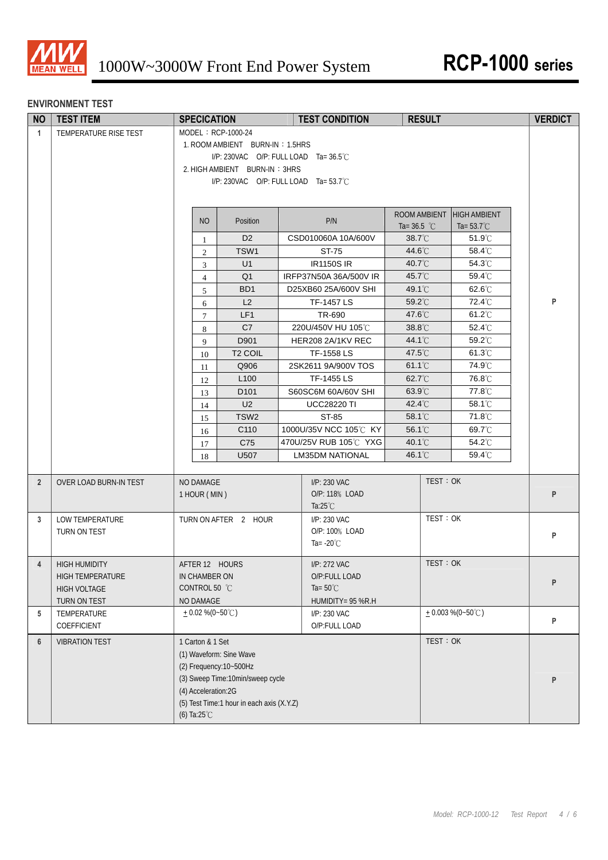

#### **ENVIRONMENT TEST**

| <b>NO</b>      | <b>TEST ITEM</b>                                                         | <b>SPECICATION</b>                                                                                                                                                                                       |  | <b>TEST CONDITION</b>                                                    | <b>RESULT</b>                 |                                             | <b>VERDICT</b> |
|----------------|--------------------------------------------------------------------------|----------------------------------------------------------------------------------------------------------------------------------------------------------------------------------------------------------|--|--------------------------------------------------------------------------|-------------------------------|---------------------------------------------|----------------|
| $\mathbf{1}$   | TEMPERATURE RISE TEST                                                    | MODEL: RCP-1000-24<br>1. ROOM AMBIENT BURN-IN: 1.5HRS<br>I/P: 230VAC O/P: FULL LOAD Ta=36.5°C<br>2. HIGH AMBIENT BURN-IN: 3HRS<br>I/P: 230VAC O/P: FULL LOAD Ta= 53.7°C                                  |  |                                                                          |                               |                                             |                |
|                |                                                                          | <b>NO</b><br>Position                                                                                                                                                                                    |  | P/N                                                                      | ROOM AMBIENT<br>Ta= $36.5$ °C | <b>HIGH AMBIENT</b><br>Ta= $53.7^{\circ}$ C |                |
|                |                                                                          | D <sub>2</sub><br>$\mathbf{1}$                                                                                                                                                                           |  | CSD010060A 10A/600V                                                      | 38.7°C                        | 51.9°C                                      |                |
|                |                                                                          | TSW1<br>$\mathfrak{2}$                                                                                                                                                                                   |  | ST-75                                                                    | 44.6°C                        | 58.4°C                                      |                |
|                |                                                                          | U1<br>3                                                                                                                                                                                                  |  | <b>IR1150S IR</b>                                                        | 40.7°C                        | 54.3°C                                      |                |
|                |                                                                          | Q <sub>1</sub><br>$\overline{4}$                                                                                                                                                                         |  | IRFP37N50A 36A/500V IR                                                   | 45.7°C                        | 59.4°C                                      |                |
|                |                                                                          | BD <sub>1</sub><br>5                                                                                                                                                                                     |  | D25XB60 25A/600V SHI                                                     | 49.1°C                        | 62.6°C                                      |                |
|                |                                                                          | L2<br>6                                                                                                                                                                                                  |  | TF-1457 LS                                                               | 59.2°C                        | 72.4°C                                      | P              |
|                |                                                                          | LF1<br>$\tau$                                                                                                                                                                                            |  | TR-690                                                                   | 47.6°C                        | 61.2°C                                      |                |
|                |                                                                          | C7<br>8                                                                                                                                                                                                  |  | 220U/450V HU 105℃                                                        | 38.8°C                        | 52.4°C                                      |                |
|                |                                                                          | D901<br>9                                                                                                                                                                                                |  | HER208 2A/1KV REC                                                        | 44.1°C                        | 59.2°C                                      |                |
|                |                                                                          | T <sub>2</sub> COIL<br>10                                                                                                                                                                                |  | TF-1558 LS                                                               | 47.5°C                        | $61.3^{\circ}$ C                            |                |
|                |                                                                          | Q906<br>11                                                                                                                                                                                               |  | 2SK2611 9A/900V TOS                                                      | 61.1°C                        | 74.9°C                                      |                |
|                |                                                                          | L <sub>100</sub><br>12                                                                                                                                                                                   |  | TF-1455 LS                                                               | 62.7°C                        | 76.8°C                                      |                |
|                |                                                                          | D <sub>101</sub><br>13                                                                                                                                                                                   |  | S60SC6M 60A/60V SHI                                                      | 63.9°C                        | 77.8°C                                      |                |
|                |                                                                          | U <sub>2</sub><br>14<br>TSW <sub>2</sub>                                                                                                                                                                 |  | <b>UCC28220 TI</b>                                                       | 42.4°C<br>58.1°C              | 58.1°C<br>71.8°C                            |                |
|                |                                                                          | 15<br>C110                                                                                                                                                                                               |  | ST-85<br>1000U/35V NCC 105°C KY                                          | 56.1°C                        | 69.7°C                                      |                |
|                |                                                                          | 16<br>C75                                                                                                                                                                                                |  | 470U/25V RUB 105℃ YXG                                                    | 40.1°C                        | 54.2°C                                      |                |
|                |                                                                          | 17<br>U507<br>18                                                                                                                                                                                         |  | <b>LM35DM NATIONAL</b>                                                   | 46.1°C                        | 59.4°C                                      |                |
|                |                                                                          |                                                                                                                                                                                                          |  |                                                                          |                               |                                             |                |
| $\overline{2}$ | OVER LOAD BURN-IN TEST                                                   | NO DAMAGE<br>1 HOUR (MIN)                                                                                                                                                                                |  | I/P: 230 VAC<br>O/P: 118% LOAD<br>Ta: $25^{\circ}$ C                     | TEST: OK                      |                                             | P              |
| 3              | LOW TEMPERATURE<br>TURN ON TEST                                          | TURN ON AFTER 2 HOUR                                                                                                                                                                                     |  | I/P: 230 VAC<br>O/P: 100% LOAD<br>Ta= $-20^{\circ}$ C                    | TEST: OK                      |                                             | P              |
| $\overline{4}$ | <b>HIGH HUMIDITY</b><br>HIGH TEMPERATURE<br>HIGH VOLTAGE<br>TURN ON TEST | AFTER 12 HOURS<br>IN CHAMBER ON<br>CONTROL 50 °C<br>NO DAMAGE                                                                                                                                            |  | I/P: 272 VAC<br>O/P:FULL LOAD<br>Ta= $50^{\circ}$ C<br>HUMIDITY= 95 %R.H | TEST: OK                      |                                             | P              |
| 5              | TEMPERATURE<br>COEFFICIENT                                               | $+0.02\%$ (0~50°C)                                                                                                                                                                                       |  | I/P: 230 VAC<br>O/P:FULL LOAD                                            |                               | $+0.003\%$ (0~50°C)                         | P              |
| 6              | <b>VIBRATION TEST</b>                                                    | 1 Carton & 1 Set<br>(1) Waveform: Sine Wave<br>(2) Frequency: 10~500Hz<br>(3) Sweep Time:10min/sweep cycle<br>(4) Acceleration:2G<br>(5) Test Time:1 hour in each axis (X.Y.Z)<br>(6) Ta: $25^{\circ}$ C |  |                                                                          | TEST: OK                      |                                             | P              |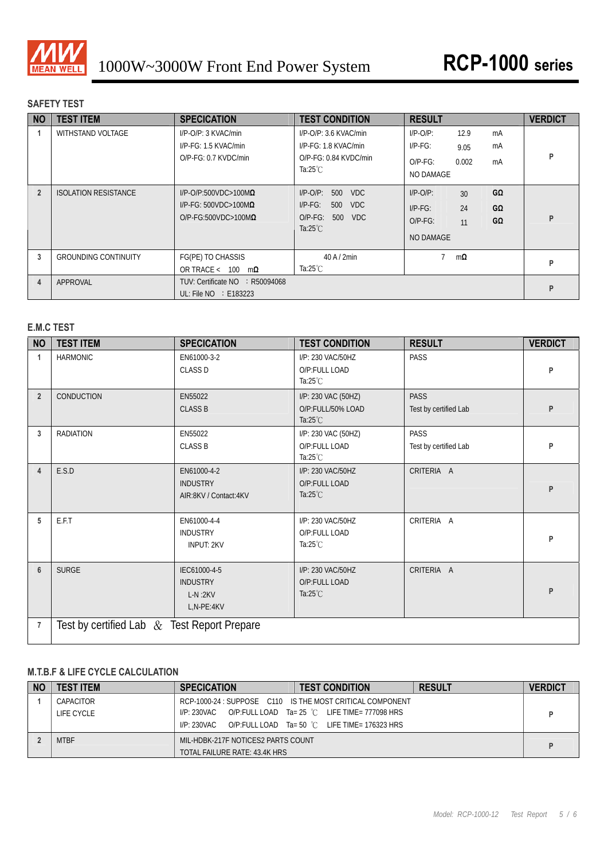

## **SAFETY TEST**

| <b>NO</b>      | <b>TEST ITEM</b>            | <b>SPECICATION</b>                                                                                   | <b>TEST CONDITION</b>                                                                                              | <b>RESULT</b>                                                                                                | <b>VERDICT</b> |
|----------------|-----------------------------|------------------------------------------------------------------------------------------------------|--------------------------------------------------------------------------------------------------------------------|--------------------------------------------------------------------------------------------------------------|----------------|
|                | WITHSTAND VOLTAGE           | I/P-O/P: 3 KVAC/min<br>I/P-FG: 1.5 KVAC/min<br>$O/P-FG: 0.7$ KVDC/min                                | $I/P$ -O/P: 3.6 KVAC/min<br>I/P-FG: 1.8 KVAC/min<br>$O/P-FG: 0.84$ KVDC/min<br>Ta:25 $°C$                          | $I/P-O/P$ :<br>12.9<br>mA<br>$I/P-FG$ :<br>mA<br>9.05<br>0.002<br>$O/P-FG$ :<br>mA<br>NO DAMAGE              | P              |
| $\overline{2}$ | <b>ISOLATION RESISTANCE</b> | $I/P$ -O/P:500VDC>100M $\Omega$<br>$I/P$ -FG: 500VDC>100M $\Omega$<br>$O/P$ -FG:500VDC>100M $\Omega$ | <b>VDC</b><br>$I/P-O/P$ :<br>500<br>$I/P-FG$ :<br>500<br><b>VDC</b><br>$O/P-FG$ :<br>500 VDC<br>Ta: $25^{\circ}$ C | GΩ<br>$I/P$ -O/P:<br>30 <sup>°</sup><br>24<br>GΩ<br>$I/P-FG$ :<br>GΩ<br>$O/P-FG$ :<br>11<br><b>NO DAMAGE</b> | P              |
| 3              | <b>GROUNDING CONTINUITY</b> | FG(PE) TO CHASSIS<br>OR TRACE < $100 \text{ m}\Omega$                                                | $40$ A $/$ 2min<br>Ta:25 $°C$                                                                                      | $m\Omega$                                                                                                    | P              |
| 4              | APPROVAL                    | TUV: Certificate NO : R50094068<br>UL: File $NO \div E183223$                                        |                                                                                                                    |                                                                                                              | P              |

## **E.M.C TEST**

| <b>NO</b>      | <b>TEST ITEM</b>                               | <b>SPECICATION</b>                                         | <b>TEST CONDITION</b>                                          | <b>RESULT</b>                        | <b>VERDICT</b> |
|----------------|------------------------------------------------|------------------------------------------------------------|----------------------------------------------------------------|--------------------------------------|----------------|
| 1              | <b>HARMONIC</b>                                | EN61000-3-2<br><b>CLASS D</b>                              | I/P: 230 VAC/50HZ<br>O/P:FULL LOAD<br>Ta: $25^{\circ}$ C       | PASS                                 | P              |
| $\overline{2}$ | <b>CONDUCTION</b>                              | EN55022<br><b>CLASS B</b>                                  | I/P: 230 VAC (50HZ)<br>O/P:FULL/50% LOAD<br>Ta: $25^{\circ}$ C | <b>PASS</b><br>Test by certified Lab | P              |
| 3              | <b>RADIATION</b>                               | EN55022<br><b>CLASS B</b>                                  | I/P: 230 VAC (50HZ)<br>O/P:FULL LOAD<br>Ta: $25^{\circ}$ C     | <b>PASS</b><br>Test by certified Lab | P              |
| $\overline{4}$ | E.S.D                                          | EN61000-4-2<br><b>INDUSTRY</b><br>AIR:8KV / Contact:4KV    | I/P: 230 VAC/50HZ<br>O/P:FULL LOAD<br>Ta: $25^{\circ}$ C       | CRITERIA A                           | P              |
| 5              | E.F.T                                          | EN61000-4-4<br><b>INDUSTRY</b><br><b>INPUT: 2KV</b>        | I/P: 230 VAC/50HZ<br>O/P:FULL LOAD<br>Ta: $25^{\circ}$ C       | CRITERIA A                           | P              |
| $6\phantom{1}$ | <b>SURGE</b>                                   | IEC61000-4-5<br><b>INDUSTRY</b><br>$L-N:2KV$<br>L,N-PE:4KV | I/P: 230 VAC/50HZ<br>O/P:FULL LOAD<br>Ta: $25^{\circ}$ C       | CRITERIA A                           | P              |
| $\overline{7}$ | Test by certified Lab $\&$ Test Report Prepare |                                                            |                                                                |                                      |                |

## **M.T.B.F & LIFE CYCLE CALCULATION**

| <b>NO</b> | <b>TEST ITEM</b> | <b>SPECICATION</b>                 | <b>TEST CONDITION</b>                                     | <b>RESULT</b> | <b>VERDICT</b> |
|-----------|------------------|------------------------------------|-----------------------------------------------------------|---------------|----------------|
|           | CAPACITOR        |                                    | RCP-1000-24 : SUPPOSE C110 IS THE MOST CRITICAL COMPONENT |               |                |
|           | LIFE CYCLE       | I/P: 230VAC                        | O/P:FULL LOAD Ta= 25 °C LIFE TIME= 777098 HRS             |               |                |
|           |                  | I/P: 230VAC                        | O/P:FULL LOAD Ta= 50 °C LIFE TIME= 176323 HRS             |               |                |
|           | <b>MTBF</b>      | MIL-HDBK-217F NOTICES2 PARTS COUNT |                                                           |               |                |
|           |                  | TOTAL FAILURE RATE: 43.4K HRS      |                                                           |               |                |